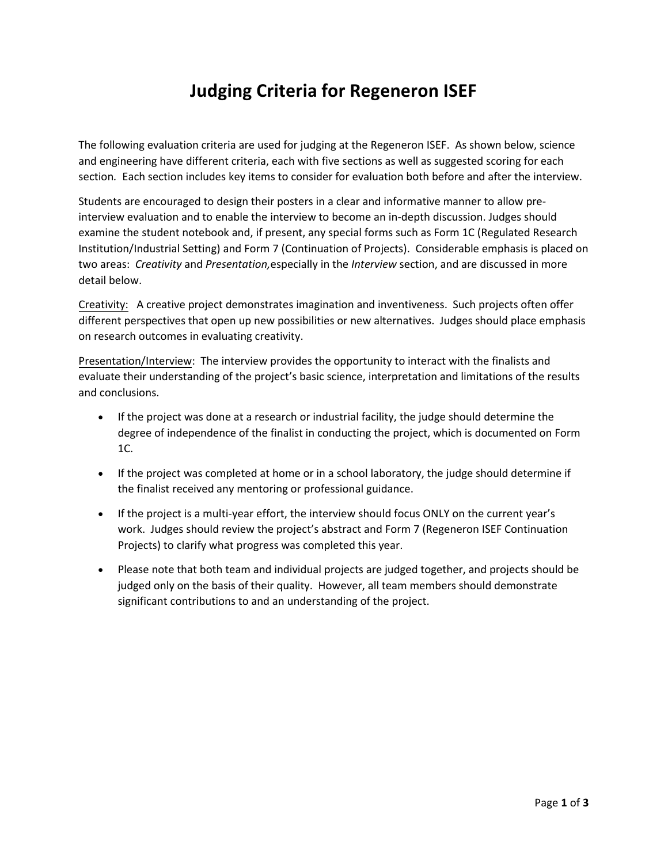# **Judging Criteria for Regeneron ISEF**

The following evaluation criteria are used for judging at the Regeneron ISEF. As shown below, science and engineering have different criteria, each with five sections as well as suggested scoring for each section*.* Each section includes key items to consider for evaluation both before and after the interview.

Students are encouraged to design their posters in a clear and informative manner to allow preinterview evaluation and to enable the interview to become an in-depth discussion. Judges should examine the student notebook and, if present, any special forms such as Form 1C (Regulated Research Institution/Industrial Setting) and Form 7 (Continuation of Projects). Considerable emphasis is placed on two areas: *Creativity* and *Presentation,*especially in the *Interview* section, and are discussed in more detail below.

Creativity: A creative project demonstrates imagination and inventiveness. Such projects often offer different perspectives that open up new possibilities or new alternatives. Judges should place emphasis on research outcomes in evaluating creativity.

Presentation/Interview: The interview provides the opportunity to interact with the finalists and evaluate their understanding of the project's basic science, interpretation and limitations of the results and conclusions.

- If the project was done at a research or industrial facility, the judge should determine the degree of independence of the finalist in conducting the project, which is documented on Form 1C.
- If the project was completed at home or in a school laboratory, the judge should determine if the finalist received any mentoring or professional guidance.
- If the project is a multi-year effort, the interview should focus ONLY on the current year's work. Judges should review the project's abstract and Form 7 (Regeneron ISEF Continuation Projects) to clarify what progress was completed this year.
- Please note that both team and individual projects are judged together, and projects should be judged only on the basis of their quality. However, all team members should demonstrate significant contributions to and an understanding of the project.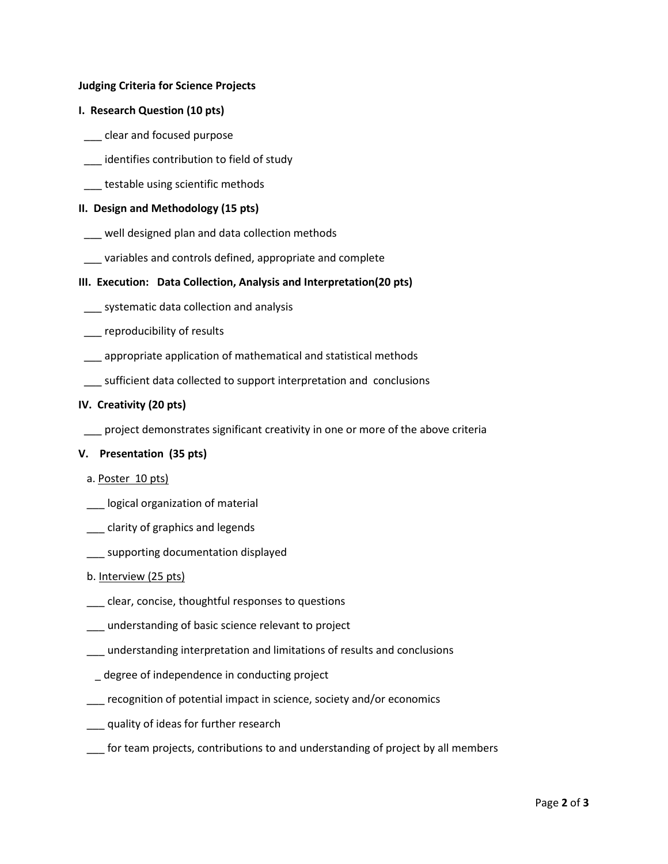## **Judging Criteria for Science Projects**

## **I. Research Question (10 pts)**

- \_\_\_ clear and focused purpose
- \_\_\_ identifies contribution to field of study
- \_\_\_ testable using scientific methods

## **II. Design and Methodology (15 pts)**

- \_\_ well designed plan and data collection methods
- \_\_\_ variables and controls defined, appropriate and complete

## **III. Execution: Data Collection, Analysis and Interpretation(20 pts)**

- \_\_\_ systematic data collection and analysis
- \_\_\_ reproducibility of results
- \_\_\_ appropriate application of mathematical and statistical methods
- \_\_\_ sufficient data collected to support interpretation and conclusions

## **IV. Creativity (20 pts)**

\_\_\_ project demonstrates significant creativity in one or more of the above criteria

## **V. Presentation (35 pts)**

- a. Poster 10 pts)
- \_\_\_ logical organization of material
- \_\_\_ clarity of graphics and legends
- supporting documentation displayed

## b. Interview (25 pts)

- \_\_\_ clear, concise, thoughtful responses to questions
- \_\_\_ understanding of basic science relevant to project
- \_\_\_ understanding interpretation and limitations of results and conclusions
- degree of independence in conducting project
- \_\_\_ recognition of potential impact in science, society and/or economics
- \_\_\_ quality of ideas for further research
- for team projects, contributions to and understanding of project by all members